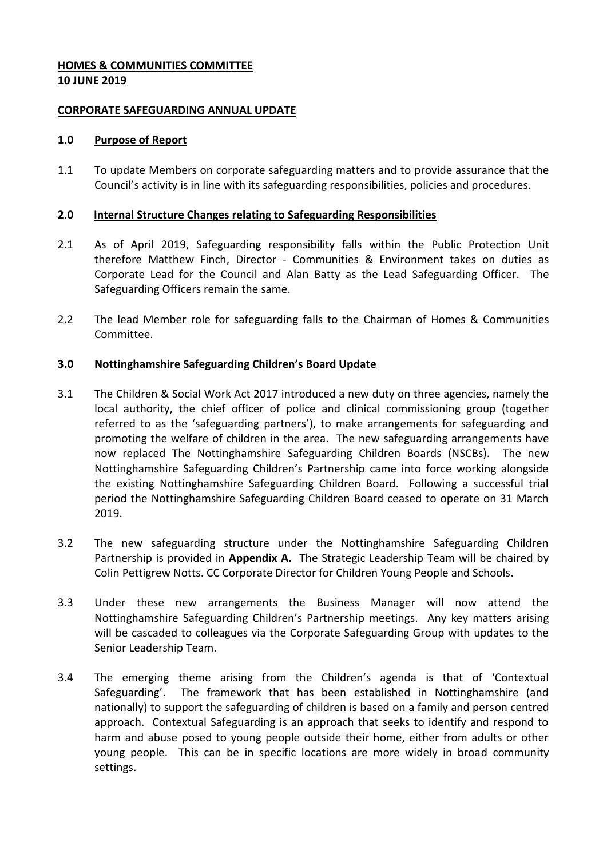### **HOMES & COMMUNITIES COMMITTEE 10 JUNE 2019**

#### **CORPORATE SAFEGUARDING ANNUAL UPDATE**

#### **1.0 Purpose of Report**

1.1 To update Members on corporate safeguarding matters and to provide assurance that the Council's activity is in line with its safeguarding responsibilities, policies and procedures.

# **2.0 Internal Structure Changes relating to Safeguarding Responsibilities**

- 2.1 As of April 2019, Safeguarding responsibility falls within the Public Protection Unit therefore Matthew Finch, Director - Communities & Environment takes on duties as Corporate Lead for the Council and Alan Batty as the Lead Safeguarding Officer. The Safeguarding Officers remain the same.
- 2.2 The lead Member role for safeguarding falls to the Chairman of Homes & Communities Committee.

# **3.0 Nottinghamshire Safeguarding Children's Board Update**

- 3.1 The Children & Social Work Act 2017 introduced a new duty on three agencies, namely the local authority, the chief officer of police and clinical commissioning group (together referred to as the 'safeguarding partners'), to make arrangements for safeguarding and promoting the welfare of children in the area. The new safeguarding arrangements have now replaced The Nottinghamshire Safeguarding Children Boards (NSCBs). The new Nottinghamshire Safeguarding Children's Partnership came into force working alongside the existing Nottinghamshire Safeguarding Children Board. Following a successful trial period the Nottinghamshire Safeguarding Children Board ceased to operate on 31 March 2019.
- 3.2 The new safeguarding structure under the Nottinghamshire Safeguarding Children Partnership is provided in **Appendix A.** The Strategic Leadership Team will be chaired by Colin Pettigrew Notts. CC Corporate Director for Children Young People and Schools.
- 3.3 Under these new arrangements the Business Manager will now attend the Nottinghamshire Safeguarding Children's Partnership meetings. Any key matters arising will be cascaded to colleagues via the Corporate Safeguarding Group with updates to the Senior Leadership Team.
- 3.4 The emerging theme arising from the Children's agenda is that of 'Contextual Safeguarding'. The framework that has been established in Nottinghamshire (and nationally) to support the safeguarding of children is based on a family and person centred approach. Contextual Safeguarding is an approach that seeks to identify and respond to harm and abuse posed to young people outside their home, either from adults or other young people. This can be in specific locations are more widely in broad community settings.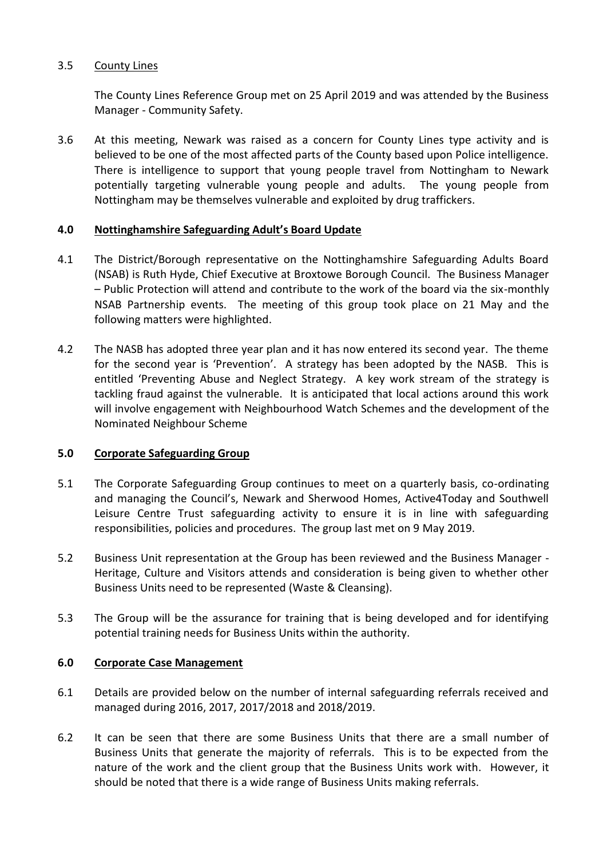# 3.5 County Lines

The County Lines Reference Group met on 25 April 2019 and was attended by the Business Manager - Community Safety.

3.6 At this meeting, Newark was raised as a concern for County Lines type activity and is believed to be one of the most affected parts of the County based upon Police intelligence. There is intelligence to support that young people travel from Nottingham to Newark potentially targeting vulnerable young people and adults. The young people from Nottingham may be themselves vulnerable and exploited by drug traffickers.

# **4.0 Nottinghamshire Safeguarding Adult's Board Update**

- 4.1 The District/Borough representative on the Nottinghamshire Safeguarding Adults Board (NSAB) is Ruth Hyde, Chief Executive at Broxtowe Borough Council. The Business Manager – Public Protection will attend and contribute to the work of the board via the six-monthly NSAB Partnership events. The meeting of this group took place on 21 May and the following matters were highlighted.
- 4.2 The NASB has adopted three year plan and it has now entered its second year. The theme for the second year is 'Prevention'. A strategy has been adopted by the NASB. This is entitled 'Preventing Abuse and Neglect Strategy. A key work stream of the strategy is tackling fraud against the vulnerable. It is anticipated that local actions around this work will involve engagement with Neighbourhood Watch Schemes and the development of the Nominated Neighbour Scheme

# **5.0 Corporate Safeguarding Group**

- 5.1 The Corporate Safeguarding Group continues to meet on a quarterly basis, co-ordinating and managing the Council's, Newark and Sherwood Homes, Active4Today and Southwell Leisure Centre Trust safeguarding activity to ensure it is in line with safeguarding responsibilities, policies and procedures. The group last met on 9 May 2019.
- 5.2 Business Unit representation at the Group has been reviewed and the Business Manager Heritage, Culture and Visitors attends and consideration is being given to whether other Business Units need to be represented (Waste & Cleansing).
- 5.3 The Group will be the assurance for training that is being developed and for identifying potential training needs for Business Units within the authority.

# **6.0 Corporate Case Management**

- 6.1 Details are provided below on the number of internal safeguarding referrals received and managed during 2016, 2017, 2017/2018 and 2018/2019.
- 6.2 It can be seen that there are some Business Units that there are a small number of Business Units that generate the majority of referrals. This is to be expected from the nature of the work and the client group that the Business Units work with. However, it should be noted that there is a wide range of Business Units making referrals.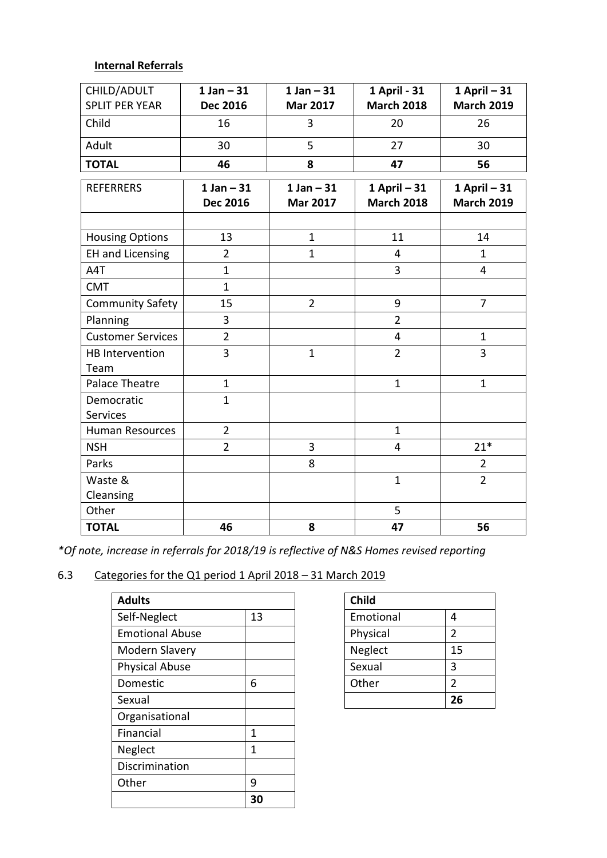# **Internal Referrals**

| CHILD/ADULT              | $1$ Jan $-31$   | $1$ Jan $-31$   | 1 April - 31      | $1$ April $-31$   |
|--------------------------|-----------------|-----------------|-------------------|-------------------|
| <b>SPLIT PER YEAR</b>    | <b>Dec 2016</b> | <b>Mar 2017</b> | <b>March 2018</b> | <b>March 2019</b> |
| Child                    | 16              | 3               | 20                | 26                |
| Adult                    | 30              | 5               | 27                | 30                |
| <b>TOTAL</b>             | 46              | 8               | 47                | 56                |
| <b>REFERRERS</b>         | $1 Jan - 31$    | $1$ Jan $-31$   | $1$ April $-31$   | $1$ April $-31$   |
|                          | <b>Dec 2016</b> | <b>Mar 2017</b> | <b>March 2018</b> | <b>March 2019</b> |
|                          |                 |                 |                   |                   |
| <b>Housing Options</b>   | 13              | $\mathbf{1}$    | 11                | 14                |
| <b>EH and Licensing</b>  | $\overline{2}$  | $\mathbf{1}$    | $\overline{4}$    | $\mathbf{1}$      |
| A4T                      | $\mathbf{1}$    |                 | 3                 | 4                 |
| <b>CMT</b>               | $\mathbf{1}$    |                 |                   |                   |
| <b>Community Safety</b>  | 15              | $\overline{2}$  | 9                 | $\overline{7}$    |
| Planning                 | 3               |                 | $\overline{2}$    |                   |
| <b>Customer Services</b> | $\overline{2}$  |                 | $\overline{4}$    | $\mathbf{1}$      |
| <b>HB</b> Intervention   | $\overline{3}$  | $\mathbf{1}$    | $\overline{2}$    | 3                 |
| Team                     |                 |                 |                   |                   |
| Palace Theatre           | $\mathbf{1}$    |                 | $\mathbf{1}$      | $\mathbf{1}$      |
| Democratic               | $\mathbf{1}$    |                 |                   |                   |
| <b>Services</b>          |                 |                 |                   |                   |
| <b>Human Resources</b>   | $\overline{2}$  |                 | $\mathbf{1}$      |                   |
| <b>NSH</b>               | $\overline{2}$  | $\overline{3}$  | 4                 | $21*$             |
| Parks                    |                 | 8               |                   | $\overline{2}$    |
| Waste &                  |                 |                 | $\mathbf{1}$      | $\overline{2}$    |
| Cleansing                |                 |                 |                   |                   |
| Other                    |                 |                 | 5                 |                   |
| <b>TOTAL</b>             | 46              | 8               | 47                | 56                |

*\*Of note, increase in referrals for 2018/19 is reflective of N&S Homes revised reporting*

# 6.3 Categories for the Q1 period 1 April 2018 – 31 March 2019

| <b>Adults</b>          |    | <b>Child</b> |                |
|------------------------|----|--------------|----------------|
| Self-Neglect           | 13 | Emotional    | 4              |
| <b>Emotional Abuse</b> |    | Physical     | $\overline{2}$ |
| Modern Slavery         |    | Neglect      | 15             |
| <b>Physical Abuse</b>  |    | Sexual       | 3              |
| Domestic               | 6  | Other        | $\overline{2}$ |
| Sexual                 |    |              | 26             |
| Organisational         |    |              |                |
| Financial              | 1  |              |                |
| Neglect                | 1  |              |                |
| Discrimination         |    |              |                |
| Other                  | 9  |              |                |
|                        | 30 |              |                |

| <b>Child</b> |               |
|--------------|---------------|
| Emotional    | 4             |
| Physical     | 2             |
| Neglect      | 15            |
| Sexual       | 3             |
| Other        | $\mathcal{P}$ |
|              | 26            |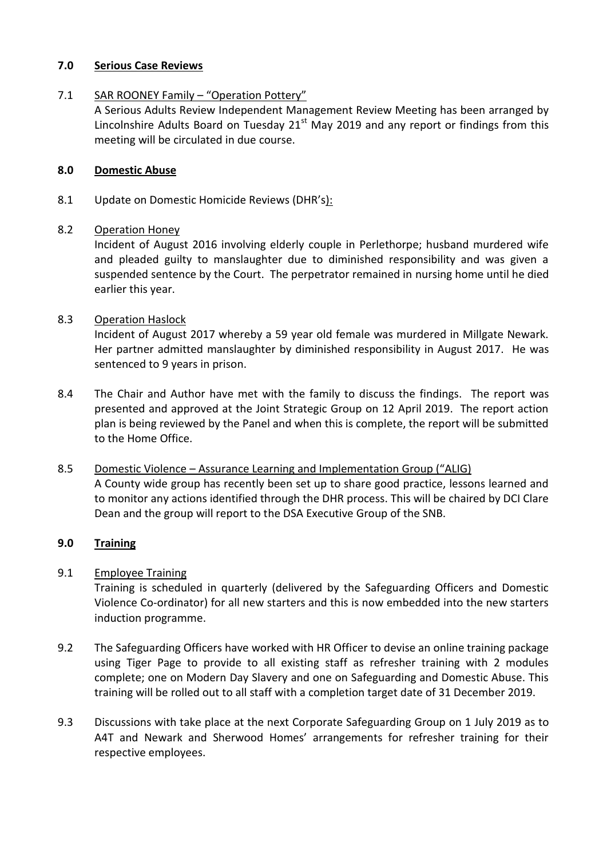### **7.0 Serious Case Reviews**

# 7.1 SAR ROONEY Family - "Operation Pottery"

A Serious Adults Review Independent Management Review Meeting has been arranged by Lincolnshire Adults Board on Tuesday  $21<sup>st</sup>$  May 2019 and any report or findings from this meeting will be circulated in due course.

# **8.0 Domestic Abuse**

8.1 Update on Domestic Homicide Reviews (DHR's):

# 8.2 Operation Honey

Incident of August 2016 involving elderly couple in Perlethorpe; husband murdered wife and pleaded guilty to manslaughter due to diminished responsibility and was given a suspended sentence by the Court. The perpetrator remained in nursing home until he died earlier this year.

# 8.3 Operation Haslock

Incident of August 2017 whereby a 59 year old female was murdered in Millgate Newark. Her partner admitted manslaughter by diminished responsibility in August 2017. He was sentenced to 9 years in prison.

8.4 The Chair and Author have met with the family to discuss the findings. The report was presented and approved at the Joint Strategic Group on 12 April 2019. The report action plan is being reviewed by the Panel and when this is complete, the report will be submitted to the Home Office.

# 8.5 Domestic Violence – Assurance Learning and Implementation Group ("ALIG) A County wide group has recently been set up to share good practice, lessons learned and to monitor any actions identified through the DHR process. This will be chaired by DCI Clare Dean and the group will report to the DSA Executive Group of the SNB.

# **9.0 Training**

# 9.1 Employee Training

Training is scheduled in quarterly (delivered by the Safeguarding Officers and Domestic Violence Co-ordinator) for all new starters and this is now embedded into the new starters induction programme.

- 9.2 The Safeguarding Officers have worked with HR Officer to devise an online training package using Tiger Page to provide to all existing staff as refresher training with 2 modules complete; one on Modern Day Slavery and one on Safeguarding and Domestic Abuse. This training will be rolled out to all staff with a completion target date of 31 December 2019.
- 9.3 Discussions with take place at the next Corporate Safeguarding Group on 1 July 2019 as to A4T and Newark and Sherwood Homes' arrangements for refresher training for their respective employees.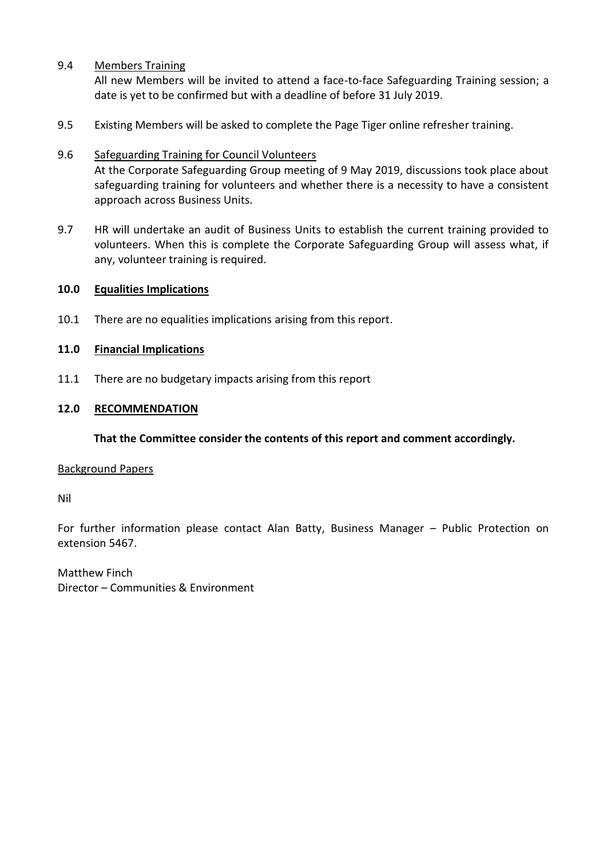# 9.4 Members Training

All new Members will be invited to attend a face-to-face Safeguarding Training session; a date is yet to be confirmed but with a deadline of before 31 July 2019.

9.5 Existing Members will be asked to complete the Page Tiger online refresher training.

# 9.6 Safeguarding Training for Council Volunteers

At the Corporate Safeguarding Group meeting of 9 May 2019, discussions took place about safeguarding training for volunteers and whether there is a necessity to have a consistent approach across Business Units.

9.7 HR will undertake an audit of Business Units to establish the current training provided to volunteers. When this is complete the Corporate Safeguarding Group will assess what, if any, volunteer training is required.

#### **10.0 Equalities Implications**

10.1 There are no equalities implications arising from this report.

# **11.0 Financial Implications**

11.1 There are no budgetary impacts arising from this report

# **12.0 RECOMMENDATION**

#### **That the Committee consider the contents of this report and comment accordingly.**

#### Background Papers

Nil

For further information please contact Alan Batty, Business Manager – Public Protection on extension 5467.

Matthew Finch Director – Communities & Environment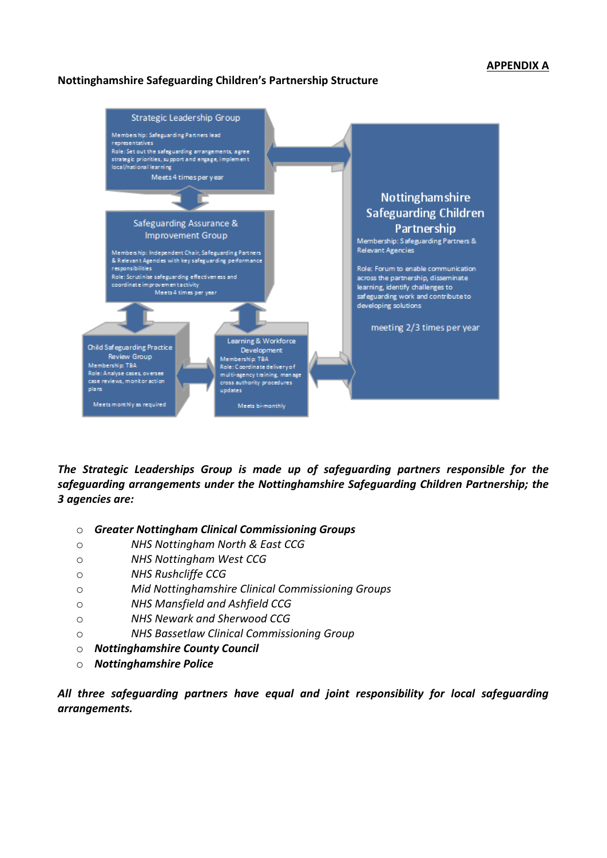#### **APPENDIX A**

#### **Nottinghamshire Safeguarding Children's Partnership Structure**



*The Strategic Leaderships Group is made up of safeguarding partners responsible for the safeguarding arrangements under the Nottinghamshire Safeguarding Children Partnership; the 3 agencies are:* 

- o *Greater Nottingham Clinical Commissioning Groups*
- o *NHS Nottingham North & East CCG*
- o *NHS Nottingham West CCG*
- o *NHS Rushcliffe CCG*
- o *Mid Nottinghamshire Clinical Commissioning Groups*
- o *NHS Mansfield and Ashfield CCG*
- o *NHS Newark and Sherwood CCG*
- o *NHS Bassetlaw Clinical Commissioning Group*
- o *Nottinghamshire County Council*
- o *Nottinghamshire Police*

*All three safeguarding partners have equal and joint responsibility for local safeguarding arrangements.*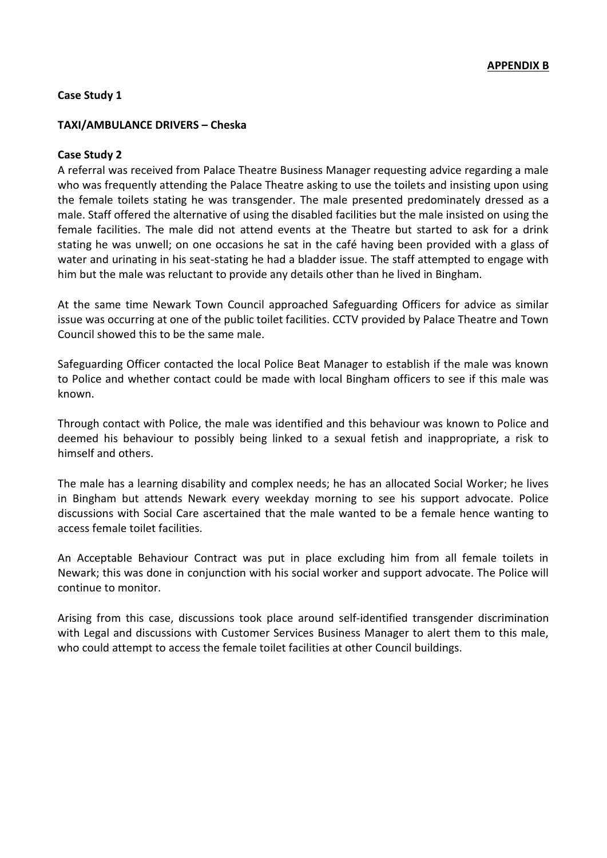#### **Case Study 1**

#### **TAXI/AMBULANCE DRIVERS – Cheska**

#### **Case Study 2**

A referral was received from Palace Theatre Business Manager requesting advice regarding a male who was frequently attending the Palace Theatre asking to use the toilets and insisting upon using the female toilets stating he was transgender. The male presented predominately dressed as a male. Staff offered the alternative of using the disabled facilities but the male insisted on using the female facilities. The male did not attend events at the Theatre but started to ask for a drink stating he was unwell; on one occasions he sat in the café having been provided with a glass of water and urinating in his seat-stating he had a bladder issue. The staff attempted to engage with him but the male was reluctant to provide any details other than he lived in Bingham.

At the same time Newark Town Council approached Safeguarding Officers for advice as similar issue was occurring at one of the public toilet facilities. CCTV provided by Palace Theatre and Town Council showed this to be the same male.

Safeguarding Officer contacted the local Police Beat Manager to establish if the male was known to Police and whether contact could be made with local Bingham officers to see if this male was known.

Through contact with Police, the male was identified and this behaviour was known to Police and deemed his behaviour to possibly being linked to a sexual fetish and inappropriate, a risk to himself and others.

The male has a learning disability and complex needs; he has an allocated Social Worker; he lives in Bingham but attends Newark every weekday morning to see his support advocate. Police discussions with Social Care ascertained that the male wanted to be a female hence wanting to access female toilet facilities.

An Acceptable Behaviour Contract was put in place excluding him from all female toilets in Newark; this was done in conjunction with his social worker and support advocate. The Police will continue to monitor.

Arising from this case, discussions took place around self-identified transgender discrimination with Legal and discussions with Customer Services Business Manager to alert them to this male, who could attempt to access the female toilet facilities at other Council buildings.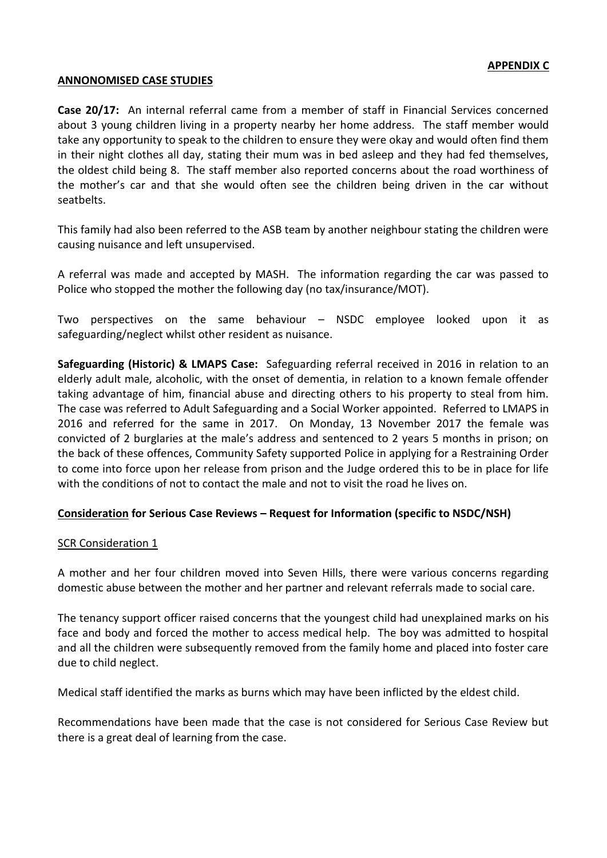#### **ANNONOMISED CASE STUDIES**

**Case 20/17:** An internal referral came from a member of staff in Financial Services concerned about 3 young children living in a property nearby her home address. The staff member would take any opportunity to speak to the children to ensure they were okay and would often find them in their night clothes all day, stating their mum was in bed asleep and they had fed themselves, the oldest child being 8. The staff member also reported concerns about the road worthiness of the mother's car and that she would often see the children being driven in the car without seatbelts.

This family had also been referred to the ASB team by another neighbour stating the children were causing nuisance and left unsupervised.

A referral was made and accepted by MASH. The information regarding the car was passed to Police who stopped the mother the following day (no tax/insurance/MOT).

Two perspectives on the same behaviour – NSDC employee looked upon it as safeguarding/neglect whilst other resident as nuisance.

**Safeguarding (Historic) & LMAPS Case:** Safeguarding referral received in 2016 in relation to an elderly adult male, alcoholic, with the onset of dementia, in relation to a known female offender taking advantage of him, financial abuse and directing others to his property to steal from him. The case was referred to Adult Safeguarding and a Social Worker appointed. Referred to LMAPS in 2016 and referred for the same in 2017. On Monday, 13 November 2017 the female was convicted of 2 burglaries at the male's address and sentenced to 2 years 5 months in prison; on the back of these offences, Community Safety supported Police in applying for a Restraining Order to come into force upon her release from prison and the Judge ordered this to be in place for life with the conditions of not to contact the male and not to visit the road he lives on.

#### **Consideration for Serious Case Reviews – Request for Information (specific to NSDC/NSH)**

#### SCR Consideration 1

A mother and her four children moved into Seven Hills, there were various concerns regarding domestic abuse between the mother and her partner and relevant referrals made to social care.

The tenancy support officer raised concerns that the youngest child had unexplained marks on his face and body and forced the mother to access medical help. The boy was admitted to hospital and all the children were subsequently removed from the family home and placed into foster care due to child neglect.

Medical staff identified the marks as burns which may have been inflicted by the eldest child.

Recommendations have been made that the case is not considered for Serious Case Review but there is a great deal of learning from the case.